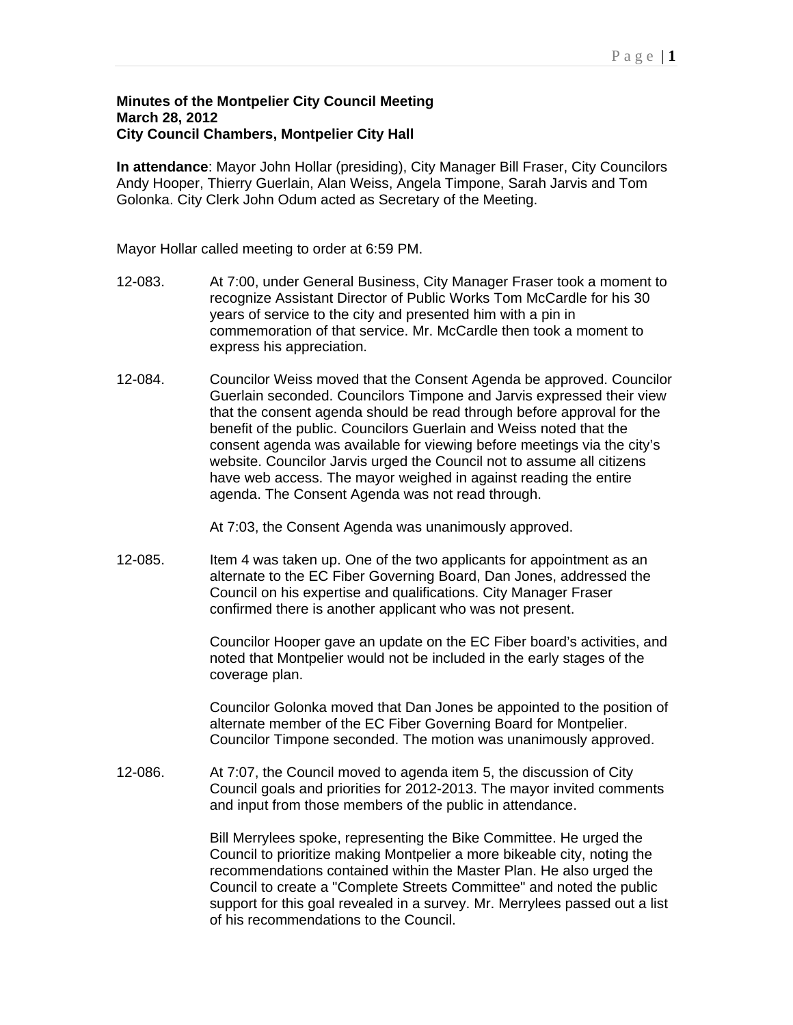## **Minutes of the Montpelier City Council Meeting March 28, 2012 City Council Chambers, Montpelier City Hall**

**In attendance**: Mayor John Hollar (presiding), City Manager Bill Fraser, City Councilors Andy Hooper, Thierry Guerlain, Alan Weiss, Angela Timpone, Sarah Jarvis and Tom Golonka. City Clerk John Odum acted as Secretary of the Meeting.

Mayor Hollar called meeting to order at 6:59 PM.

- 12-083. At 7:00, under General Business, City Manager Fraser took a moment to recognize Assistant Director of Public Works Tom McCardle for his 30 years of service to the city and presented him with a pin in commemoration of that service. Mr. McCardle then took a moment to express his appreciation.
- 12-084. Councilor Weiss moved that the Consent Agenda be approved. Councilor Guerlain seconded. Councilors Timpone and Jarvis expressed their view that the consent agenda should be read through before approval for the benefit of the public. Councilors Guerlain and Weiss noted that the consent agenda was available for viewing before meetings via the city's website. Councilor Jarvis urged the Council not to assume all citizens have web access. The mayor weighed in against reading the entire agenda. The Consent Agenda was not read through.

At 7:03, the Consent Agenda was unanimously approved.

12-085. Item 4 was taken up. One of the two applicants for appointment as an alternate to the EC Fiber Governing Board, Dan Jones, addressed the Council on his expertise and qualifications. City Manager Fraser confirmed there is another applicant who was not present.

> Councilor Hooper gave an update on the EC Fiber board's activities, and noted that Montpelier would not be included in the early stages of the coverage plan.

> Councilor Golonka moved that Dan Jones be appointed to the position of alternate member of the EC Fiber Governing Board for Montpelier. Councilor Timpone seconded. The motion was unanimously approved.

12-086. At 7:07, the Council moved to agenda item 5, the discussion of City Council goals and priorities for 2012-2013. The mayor invited comments and input from those members of the public in attendance.

> Bill Merrylees spoke, representing the Bike Committee. He urged the Council to prioritize making Montpelier a more bikeable city, noting the recommendations contained within the Master Plan. He also urged the Council to create a "Complete Streets Committee" and noted the public support for this goal revealed in a survey. Mr. Merrylees passed out a list of his recommendations to the Council.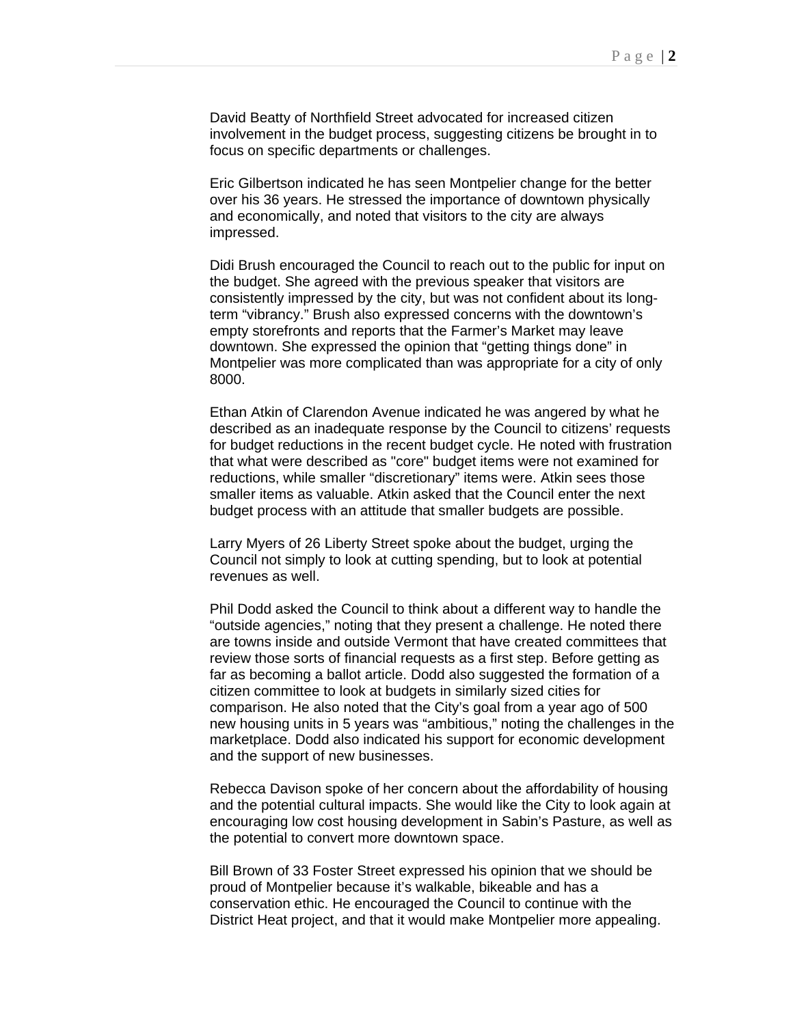David Beatty of Northfield Street advocated for increased citizen involvement in the budget process, suggesting citizens be brought in to focus on specific departments or challenges.

Eric Gilbertson indicated he has seen Montpelier change for the better over his 36 years. He stressed the importance of downtown physically and economically, and noted that visitors to the city are always impressed.

Didi Brush encouraged the Council to reach out to the public for input on the budget. She agreed with the previous speaker that visitors are consistently impressed by the city, but was not confident about its longterm "vibrancy." Brush also expressed concerns with the downtown's empty storefronts and reports that the Farmer's Market may leave downtown. She expressed the opinion that "getting things done" in Montpelier was more complicated than was appropriate for a city of only 8000.

Ethan Atkin of Clarendon Avenue indicated he was angered by what he described as an inadequate response by the Council to citizens' requests for budget reductions in the recent budget cycle. He noted with frustration that what were described as "core" budget items were not examined for reductions, while smaller "discretionary" items were. Atkin sees those smaller items as valuable. Atkin asked that the Council enter the next budget process with an attitude that smaller budgets are possible.

Larry Myers of 26 Liberty Street spoke about the budget, urging the Council not simply to look at cutting spending, but to look at potential revenues as well.

Phil Dodd asked the Council to think about a different way to handle the "outside agencies," noting that they present a challenge. He noted there are towns inside and outside Vermont that have created committees that review those sorts of financial requests as a first step. Before getting as far as becoming a ballot article. Dodd also suggested the formation of a citizen committee to look at budgets in similarly sized cities for comparison. He also noted that the City's goal from a year ago of 500 new housing units in 5 years was "ambitious," noting the challenges in the marketplace. Dodd also indicated his support for economic development and the support of new businesses.

Rebecca Davison spoke of her concern about the affordability of housing and the potential cultural impacts. She would like the City to look again at encouraging low cost housing development in Sabin's Pasture, as well as the potential to convert more downtown space.

Bill Brown of 33 Foster Street expressed his opinion that we should be proud of Montpelier because it's walkable, bikeable and has a conservation ethic. He encouraged the Council to continue with the District Heat project, and that it would make Montpelier more appealing.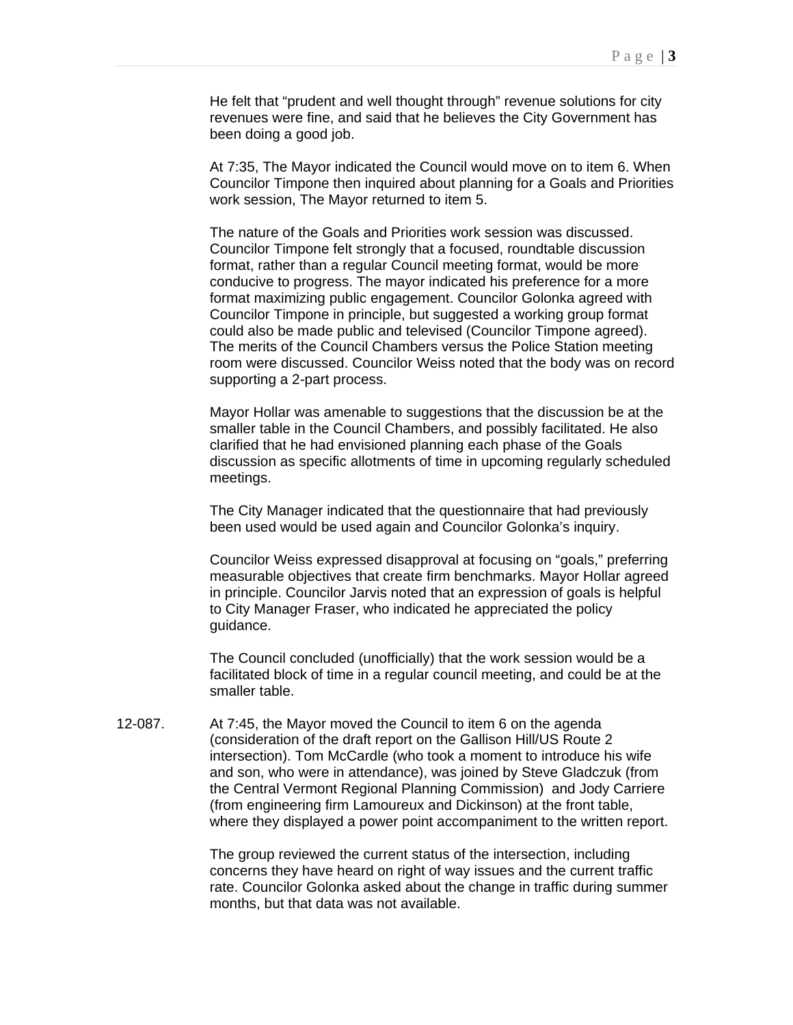He felt that "prudent and well thought through" revenue solutions for city revenues were fine, and said that he believes the City Government has been doing a good job.

At 7:35, The Mayor indicated the Council would move on to item 6. When Councilor Timpone then inquired about planning for a Goals and Priorities work session, The Mayor returned to item 5.

The nature of the Goals and Priorities work session was discussed. Councilor Timpone felt strongly that a focused, roundtable discussion format, rather than a regular Council meeting format, would be more conducive to progress. The mayor indicated his preference for a more format maximizing public engagement. Councilor Golonka agreed with Councilor Timpone in principle, but suggested a working group format could also be made public and televised (Councilor Timpone agreed). The merits of the Council Chambers versus the Police Station meeting room were discussed. Councilor Weiss noted that the body was on record supporting a 2-part process.

Mayor Hollar was amenable to suggestions that the discussion be at the smaller table in the Council Chambers, and possibly facilitated. He also clarified that he had envisioned planning each phase of the Goals discussion as specific allotments of time in upcoming regularly scheduled meetings.

The City Manager indicated that the questionnaire that had previously been used would be used again and Councilor Golonka's inquiry.

Councilor Weiss expressed disapproval at focusing on "goals," preferring measurable objectives that create firm benchmarks. Mayor Hollar agreed in principle. Councilor Jarvis noted that an expression of goals is helpful to City Manager Fraser, who indicated he appreciated the policy guidance.

The Council concluded (unofficially) that the work session would be a facilitated block of time in a regular council meeting, and could be at the smaller table.

12-087. At 7:45, the Mayor moved the Council to item 6 on the agenda (consideration of the draft report on the Gallison Hill/US Route 2 intersection). Tom McCardle (who took a moment to introduce his wife and son, who were in attendance), was joined by Steve Gladczuk (from the Central Vermont Regional Planning Commission) and Jody Carriere (from engineering firm Lamoureux and Dickinson) at the front table, where they displayed a power point accompaniment to the written report.

> The group reviewed the current status of the intersection, including concerns they have heard on right of way issues and the current traffic rate. Councilor Golonka asked about the change in traffic during summer months, but that data was not available.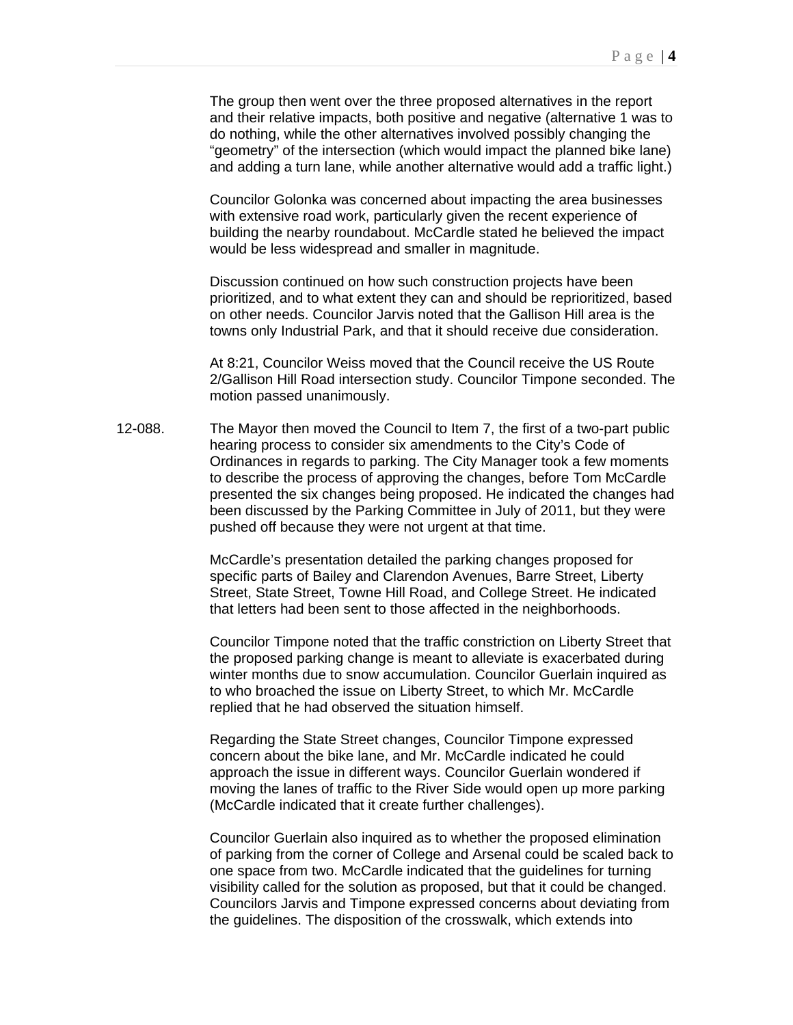The group then went over the three proposed alternatives in the report and their relative impacts, both positive and negative (alternative 1 was to do nothing, while the other alternatives involved possibly changing the "geometry" of the intersection (which would impact the planned bike lane) and adding a turn lane, while another alternative would add a traffic light.)

Councilor Golonka was concerned about impacting the area businesses with extensive road work, particularly given the recent experience of building the nearby roundabout. McCardle stated he believed the impact would be less widespread and smaller in magnitude.

Discussion continued on how such construction projects have been prioritized, and to what extent they can and should be reprioritized, based on other needs. Councilor Jarvis noted that the Gallison Hill area is the towns only Industrial Park, and that it should receive due consideration.

At 8:21, Councilor Weiss moved that the Council receive the US Route 2/Gallison Hill Road intersection study. Councilor Timpone seconded. The motion passed unanimously.

12-088. The Mayor then moved the Council to Item 7, the first of a two-part public hearing process to consider six amendments to the City's Code of Ordinances in regards to parking. The City Manager took a few moments to describe the process of approving the changes, before Tom McCardle presented the six changes being proposed. He indicated the changes had been discussed by the Parking Committee in July of 2011, but they were pushed off because they were not urgent at that time.

> McCardle's presentation detailed the parking changes proposed for specific parts of Bailey and Clarendon Avenues, Barre Street, Liberty Street, State Street, Towne Hill Road, and College Street. He indicated that letters had been sent to those affected in the neighborhoods.

Councilor Timpone noted that the traffic constriction on Liberty Street that the proposed parking change is meant to alleviate is exacerbated during winter months due to snow accumulation. Councilor Guerlain inquired as to who broached the issue on Liberty Street, to which Mr. McCardle replied that he had observed the situation himself.

Regarding the State Street changes, Councilor Timpone expressed concern about the bike lane, and Mr. McCardle indicated he could approach the issue in different ways. Councilor Guerlain wondered if moving the lanes of traffic to the River Side would open up more parking (McCardle indicated that it create further challenges).

Councilor Guerlain also inquired as to whether the proposed elimination of parking from the corner of College and Arsenal could be scaled back to one space from two. McCardle indicated that the guidelines for turning visibility called for the solution as proposed, but that it could be changed. Councilors Jarvis and Timpone expressed concerns about deviating from the guidelines. The disposition of the crosswalk, which extends into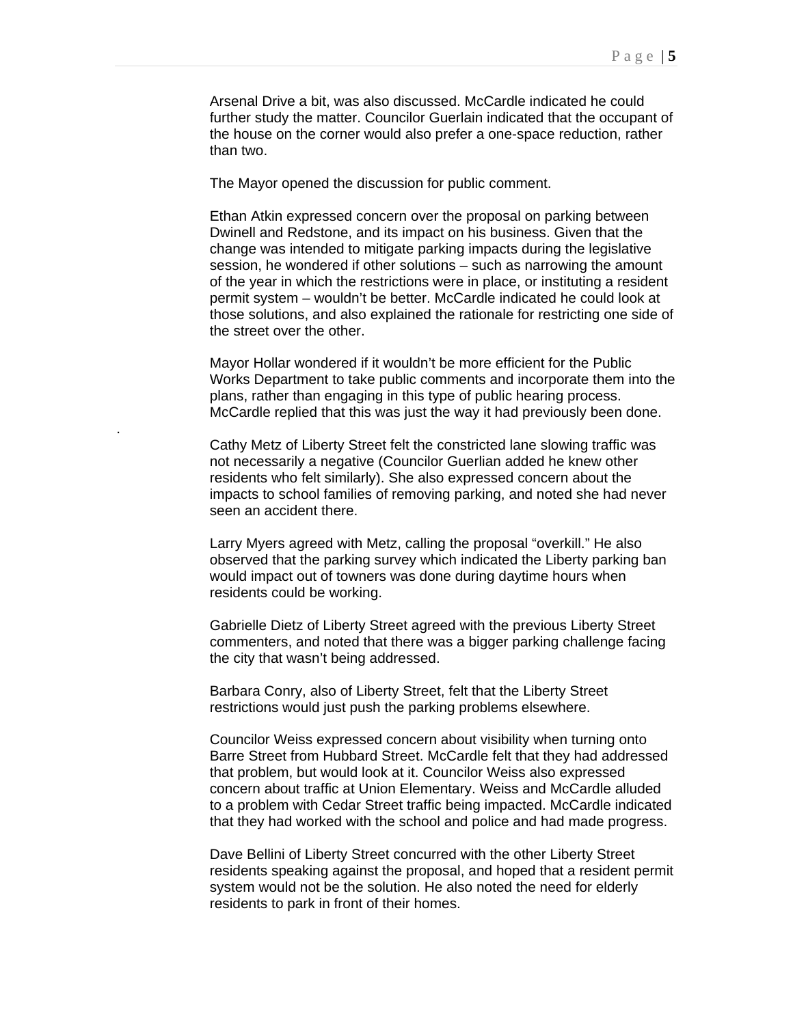Arsenal Drive a bit, was also discussed. McCardle indicated he could further study the matter. Councilor Guerlain indicated that the occupant of the house on the corner would also prefer a one-space reduction, rather than two.

The Mayor opened the discussion for public comment.

.

Ethan Atkin expressed concern over the proposal on parking between Dwinell and Redstone, and its impact on his business. Given that the change was intended to mitigate parking impacts during the legislative session, he wondered if other solutions – such as narrowing the amount of the year in which the restrictions were in place, or instituting a resident permit system – wouldn't be better. McCardle indicated he could look at those solutions, and also explained the rationale for restricting one side of the street over the other.

Mayor Hollar wondered if it wouldn't be more efficient for the Public Works Department to take public comments and incorporate them into the plans, rather than engaging in this type of public hearing process. McCardle replied that this was just the way it had previously been done.

Cathy Metz of Liberty Street felt the constricted lane slowing traffic was not necessarily a negative (Councilor Guerlian added he knew other residents who felt similarly). She also expressed concern about the impacts to school families of removing parking, and noted she had never seen an accident there.

Larry Myers agreed with Metz, calling the proposal "overkill." He also observed that the parking survey which indicated the Liberty parking ban would impact out of towners was done during daytime hours when residents could be working.

Gabrielle Dietz of Liberty Street agreed with the previous Liberty Street commenters, and noted that there was a bigger parking challenge facing the city that wasn't being addressed.

Barbara Conry, also of Liberty Street, felt that the Liberty Street restrictions would just push the parking problems elsewhere.

Councilor Weiss expressed concern about visibility when turning onto Barre Street from Hubbard Street. McCardle felt that they had addressed that problem, but would look at it. Councilor Weiss also expressed concern about traffic at Union Elementary. Weiss and McCardle alluded to a problem with Cedar Street traffic being impacted. McCardle indicated that they had worked with the school and police and had made progress.

Dave Bellini of Liberty Street concurred with the other Liberty Street residents speaking against the proposal, and hoped that a resident permit system would not be the solution. He also noted the need for elderly residents to park in front of their homes.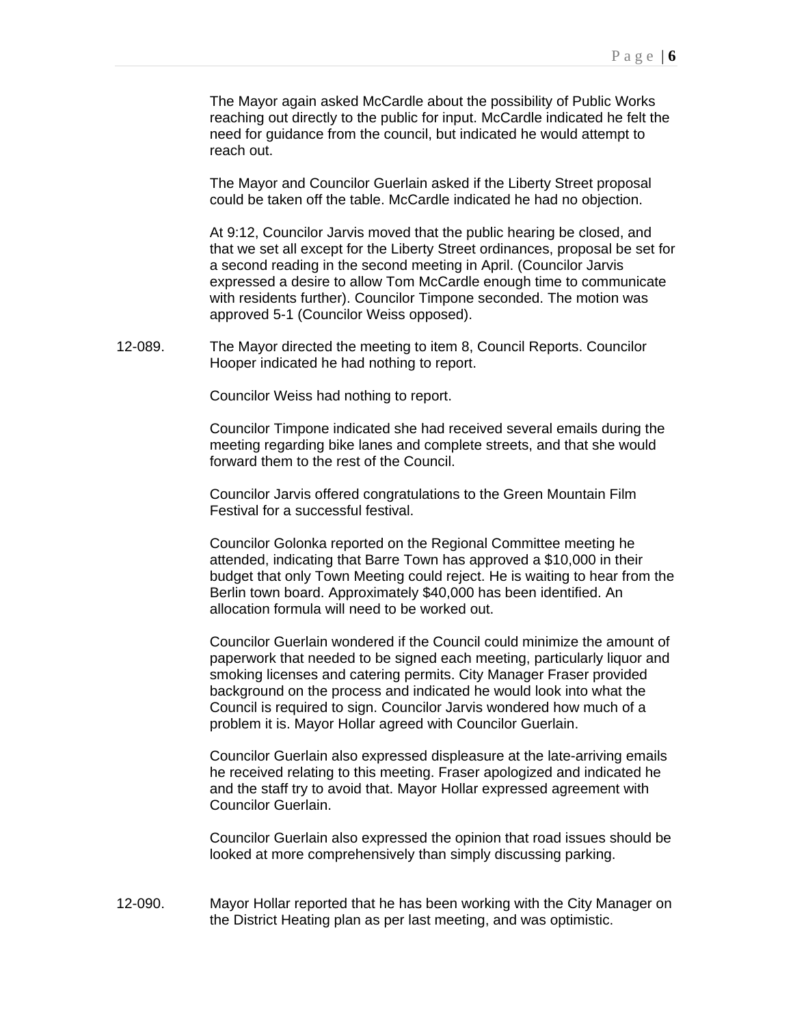The Mayor again asked McCardle about the possibility of Public Works reaching out directly to the public for input. McCardle indicated he felt the need for guidance from the council, but indicated he would attempt to reach out.

The Mayor and Councilor Guerlain asked if the Liberty Street proposal could be taken off the table. McCardle indicated he had no objection.

At 9:12, Councilor Jarvis moved that the public hearing be closed, and that we set all except for the Liberty Street ordinances, proposal be set for a second reading in the second meeting in April. (Councilor Jarvis expressed a desire to allow Tom McCardle enough time to communicate with residents further). Councilor Timpone seconded. The motion was approved 5-1 (Councilor Weiss opposed).

12-089. The Mayor directed the meeting to item 8, Council Reports. Councilor Hooper indicated he had nothing to report.

Councilor Weiss had nothing to report.

Councilor Timpone indicated she had received several emails during the meeting regarding bike lanes and complete streets, and that she would forward them to the rest of the Council.

Councilor Jarvis offered congratulations to the Green Mountain Film Festival for a successful festival.

Councilor Golonka reported on the Regional Committee meeting he attended, indicating that Barre Town has approved a \$10,000 in their budget that only Town Meeting could reject. He is waiting to hear from the Berlin town board. Approximately \$40,000 has been identified. An allocation formula will need to be worked out.

Councilor Guerlain wondered if the Council could minimize the amount of paperwork that needed to be signed each meeting, particularly liquor and smoking licenses and catering permits. City Manager Fraser provided background on the process and indicated he would look into what the Council is required to sign. Councilor Jarvis wondered how much of a problem it is. Mayor Hollar agreed with Councilor Guerlain.

Councilor Guerlain also expressed displeasure at the late-arriving emails he received relating to this meeting. Fraser apologized and indicated he and the staff try to avoid that. Mayor Hollar expressed agreement with Councilor Guerlain.

Councilor Guerlain also expressed the opinion that road issues should be looked at more comprehensively than simply discussing parking.

12-090. Mayor Hollar reported that he has been working with the City Manager on the District Heating plan as per last meeting, and was optimistic.